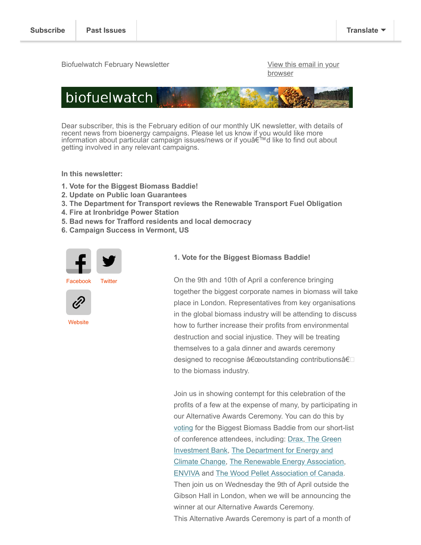Biofuelwatch February Newsletter View Theorem Controller [View this email in your](https://us4.campaign-archive.com/?e=[UNIQID]&u=2589f2f766b714016ebb1254c&id=026b094978)

**browser** 



Dear subscriber, this is the February edition of our monthly UK newsletter, with details of recent news from bioenergy campaigns. Please let us know if you would like more information about particular campaign issues/news or if you'd like to find out about getting involved in any relevant campaigns.

**In this newsletter:**

- **1. Vote for the Biggest Biomass Baddie!**
- **2. Update on Public loan Guarantees**
- **3. The Department for Transport reviews the Renewable Transport Fuel Obligation**
- **4. Fire at Ironbridge Power Station**
- **5. Bad news for Trafford residents and local democracy**
- **6. Campaign Success in Vermont, US**





**[Website](http://biofuelwatch.org.uk/)** 

#### **1. Vote for the Biggest Biomass Baddie!**

On the 9th and 10th of April a conference bringing together the biggest corporate names in biomass will take place in London. Representatives from key organisations in the global biomass industry will be attending to discuss how to further increase their profits from environmental destruction and social injustice. They will be treating themselves to a gala dinner and awards ceremony designed to recognise "outstanding contributionsâ€<sup>[]</sup> to the biomass industry.

Join us in showing contempt for this celebration of the profits of a few at the expense of many, by participating in our Alternative Awards Ceremony. You can do this by [voting](http://www.biofuelwatch.org.uk/biomess-awards/) for the Biggest Biomass Baddie from our short-list [of conference attendees, including: D](http://biofuelwatch.org.uk/gib)[rax](http://biofuelwatch.org.uk/drax)[, The Green](http://biofuelwatch.org.uk/gib) [Investment Bank, The Department for Energy and](http://biofuelwatch.org.uk/decc) Climate Change, [The Renewable Energy Association](http://biofuelwatch.org.uk/rea), [ENVIVA](http://biofuelwatch.org.uk/enviva) and [The Wood Pellet Association of Canada](http://biofuelwatch.org.uk/wood-pellet-association-of-canada). Then join us on Wednesday the 9th of April outside the Gibson Hall in London, when we will be announcing the winner at our Alternative Awards Ceremony. This Alternative Awards Ceremony is part of a month of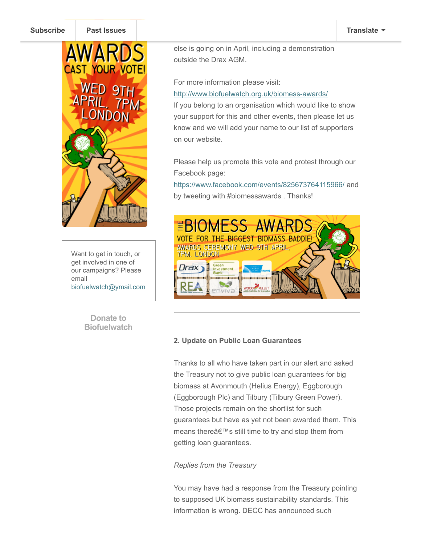#### **[Subscribe](http://eepurl.com/IdZwv) [Past Issues](http://www.biofuelwatch.org.uk/biomess-awards/) [Translate](javascript:;)**



Want to get in touch, or get involved in one of our campaigns? Please email [biofuelwatch@ymail.com](http://biofuelwatch@ymail.com/)

> **Donate to [Biofuelwatch](http://www.biofuelwatch.org.uk/donate/)**

events which put the spotlight on the spotlight on the destruction of the destruction on the destruction of the industry. Visit our website for more information on what

else is going on in April, including a demonstration outside the Drax AGM.

For more information please visit:

# <http://www.biofuelwatch.org.uk/biomess-awards/>

If you belong to an organisation which would like to show your support for this and other events, then please let us know and we will add your name to our list of supporters on our website.

Please help us promote this vote and protest through our Facebook page:

<https://www.facebook.com/events/825673764115966/>and by tweeting with #biomessawards . Thanks!



# **2. Update on Public Loan Guarantees**

Thanks to all who have taken part in our alert and asked the Treasury not to give public loan guarantees for big biomass at Avonmouth (Helius Energy), Eggborough (Eggborough Plc) and Tilbury (Tilbury Green Power). Those projects remain on the shortlist for such guarantees but have as yet not been awarded them. This means there's still time to try and stop them from getting loan guarantees.

# *Replies from the Treasury*

You may have had a response from the Treasury pointing to supposed UK biomass sustainability standards. This information is wrong. DECC has announced such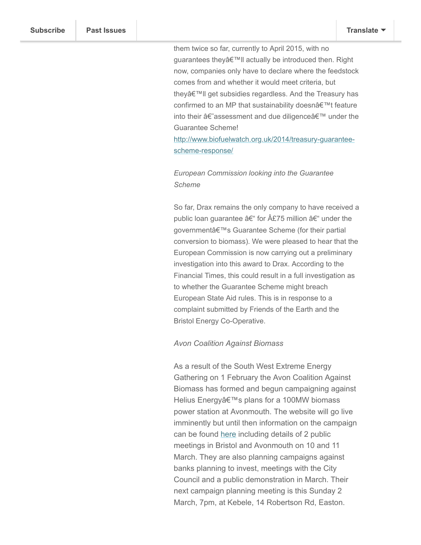them twice so far, currently to April 2015, with no guarantees they'll actually be introduced then. Right now, companies only have to declare where the feedstock comes from and whether it would meet criteria, but they'll get subsidies regardless. And the Treasury has confirmed to an MP that sustainability doesn't feature into their â€~assessment and due diligence' under the Guarantee Scheme!

wholly inadequate by NGOs. But they've delayed by NGOs. But they've delayed

[http://www.biofuelwatch.org.uk/2014/treasury-guarantee](http://www.biofuelwatch.org.uk/2014/treasury-guarantee-scheme-response/)scheme-response/

# *European Commission looking into the Guarantee Scheme*

So far, Drax remains the only company to have received a public loan guarantee â $\epsilon$ " for  $\hat{A}E$ 75 million â $\epsilon$ " under the government's Guarantee Scheme (for their partial conversion to biomass). We were pleased to hear that the European Commission is now carrying out a preliminary investigation into this award to Drax. According to the Financial Times, this could result in a full investigation as to whether the Guarantee Scheme might breach European State Aid rules. This is in response to a complaint submitted by Friends of the Earth and the Bristol Energy Co-Operative.

### *Avon Coalition Against Biomass*

As a result of the South West Extreme Energy Gathering on 1 February the Avon Coalition Against Biomass has formed and begun campaigning against Helius Energy's plans for a 100MW biomass power station at Avonmouth. The website will go live imminently but until then information on the campaign can be found [here](http://www.biofuelwatch.org.uk/2014/avonmouth-biomass-power-station-campaign/) including details of 2 public meetings in Bristol and Avonmouth on 10 and 11 March. They are also planning campaigns against banks planning to invest, meetings with the City Council and a public demonstration in March. Their next campaign planning meeting is this Sunday 2 March, 7pm, at Kebele, 14 Robertson Rd, Easton.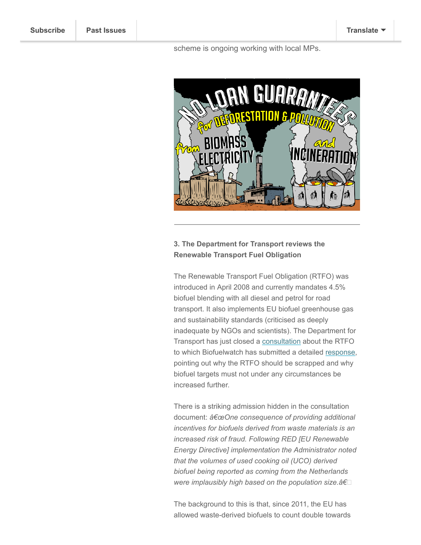#### scheme is ongoing working with local MPs.



# **3. The Department for Transport reviews the Renewable Transport Fuel Obligation**

The Renewable Transport Fuel Obligation (RTFO) was introduced in April 2008 and currently mandates 4.5% biofuel blending with all diesel and petrol for road transport. It also implements EU biofuel greenhouse gas and sustainability standards (criticised as deeply inadequate by NGOs and scientists). The Department for Transport has just closed a [consultation](https://www.gov.uk/government/consultations/renewable-transport-fuel-obligation-a-draft-post-implementation-review) about the RTFO to which Biofuelwatch has submitted a detailed [response](http://www.biofuelwatch.org.uk/wp-content/uploads/RTFO-Review-2014.pdf), pointing out why the RTFO should be scrapped and why biofuel targets must not under any circumstances be increased further.

There is a striking admission hidden in the consultation document: "One consequence of providing additional *incentives for biofuels derived from waste materials is an increased risk of fraud. Following RED [EU Renewable Energy Directive] implementation the Administrator noted that the volumes of used cooking oil (UCO) derived biofuel being reported as coming from the Netherlands were implausibly high based on the population size.â€*

The background to this is that, since 2011, the EU has allowed waste-derived biofuels to count double towards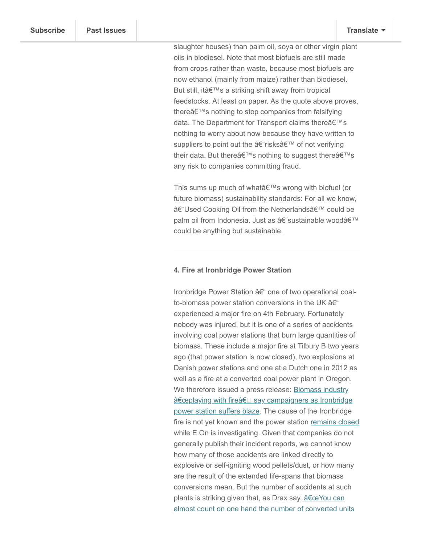slaughter houses) than palm oil, soya or other virgin plant oils in biodiesel. Note that most biofuels are still made from crops rather than waste, because most biofuels are now ethanol (mainly from maize) rather than biodiesel. But still, it's a striking shift away from tropical feedstocks. At least on paper. As the quote above proves, there's nothing to stop companies from falsifying data. The Department for Transport claims thereâ€<sup>™</sup>s nothing to worry about now because they have written to suppliers to point out the †risks a E<sup>™</sup> of not verifying their data. But there's nothing to suggest there's any risk to companies committing fraud.

more used cooking oil and tallow (a byproduct from

This sums up much of what  $\hat{\theta} \in \mathbb{N}$  wrong with biofuel (or future biomass) sustainability standards: For all we know, â€~Used Cooking Oil from the Netherlands' could be palm oil from Indonesia. Just as â€~sustainable wood' could be anything but sustainable.

#### **4. Fire at Ironbridge Power Station**

Ironbridge Power Station – one of two operational coalto-biomass power station conversions in the UK  $\hat{a}\in$ " experienced a major fire on 4th February. Fortunately nobody was injured, but it is one of a series of accidents involving coal power stations that burn large quantities of biomass. These include a major fire at Tilbury B two years ago (that power station is now closed), two explosions at Danish power stations and one at a Dutch one in 2012 as well as a fire at a converted coal power plant in Oregon. We therefore issued a press release: Biomass industry "playing with fireâ€⊡ say campaigners as Ironbridge power station suffers blaze. The cause of the Ironbridge fire is not yet known and the power station [remains closed](http://www.shropshirestar.com/news/2014/02/25/probe-ongoing-into-ironbridge-power-station-fire/) while E.On is investigating. Given that companies do not generally publish their incident reports, we cannot know how many of those accidents are linked directly to explosive or self-igniting wood pellets/dust, or how many are the result of the extended life-spans that biomass conversions mean. But the number of accidents at such plants is striking given that, as Drax say, "You can [almost count on one hand the number of converted units](http://www.utilityweek.co.uk/news/drax-biomass-conversion-is-not-established-technology/979172)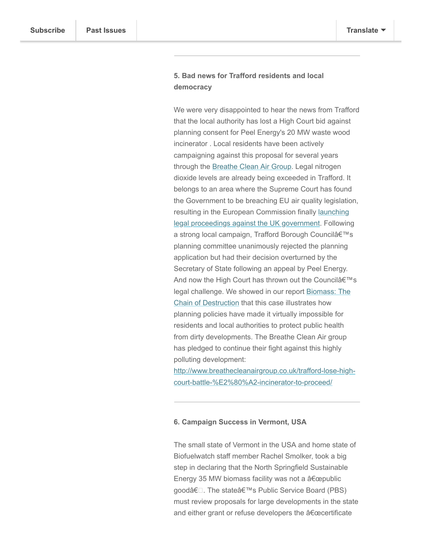# **5. Bad news for Trafford residents and local democracy**

We were very disappointed to hear the news from Trafford that the local authority has lost a High Court bid against planning consent for Peel Energy's 20 MW waste wood incinerator . Local residents have been actively campaigning against this proposal for several years through the [Breathe Clean Air Group.](http://www.breathecleanairgroup.co.uk/) Legal nitrogen dioxide levels are already being exceeded in Trafford. It belongs to an area where the Supreme Court has found the Government to be breaching EU air quality legislation, resulting in the European Commission finally launching [legal proceedings against the UK government. Followin](http://www.bbc.co.uk/news/science-environment-26257703)g a strong local campaign, Trafford Borough Council's planning committee unanimously rejected the planning application but had their decision overturned by the Secretary of State following an appeal by Peel Energy. And now the High Court has thrown out the Council's [legal challenge. We showed in our report Biomass: The](http://www.biofuelwatch.org.uk/2013/chain-of-destruction/) Chain of Destruction that this case illustrates how planning policies have made it virtually impossible for residents and local authorities to protect public health from dirty developments. The Breathe Clean Air group has pledged to continue their fight against this highly polluting development:

[http://www.breathecleanairgroup.co.uk/trafford-lose-high](http://www.breathecleanairgroup.co.uk/trafford-lose-high-court-battle-%E2%80%A2-incinerator-to-proceed/)court-battle-%E2%80%A2-incinerator-to-proceed/

## **6. Campaign Success in Vermont, USA**

The small state of Vermont in the USA and home state of Biofuelwatch staff member Rachel Smolker, took a big step in declaring that the North Springfield Sustainable Energy 35 MW biomass facility was not a "public goodâ€<sup>[2]</sup>. The stateâ€<sup>™</sup>s Public Service Board (PBS) must review proposals for large developments in the state and either grant or refuse developers the "certificate